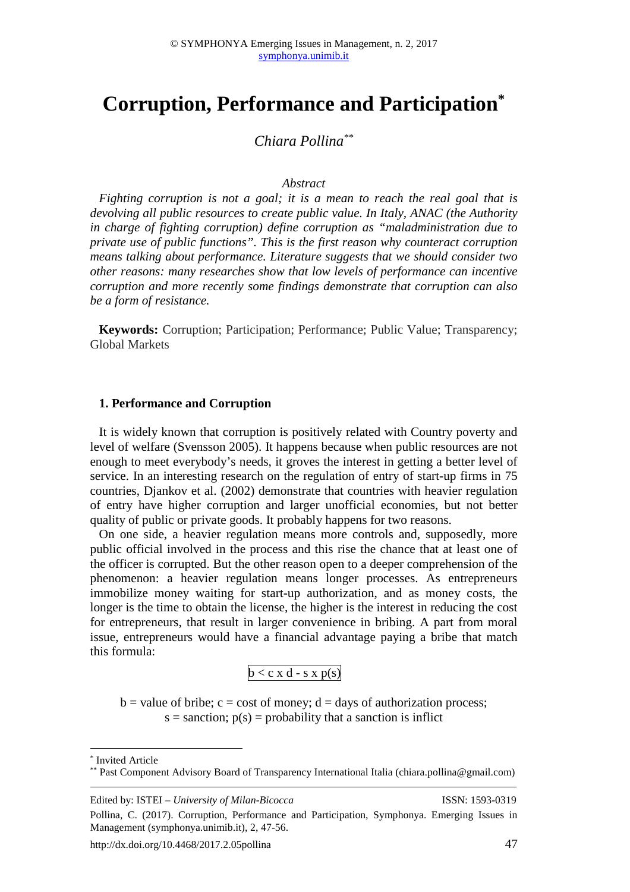# **Corruption, Performance and Participation\***

# *Chiara Pollina\*\**

#### *Abstract*

*Fighting corruption is not a goal; it is a mean to reach the real goal that is devolving all public resources to create public value. In Italy, ANAC (the Authority in charge of fighting corruption) define corruption as "maladministration due to private use of public functions". This is the first reason why counteract corruption means talking about performance. Literature suggests that we should consider two other reasons: many researches show that low levels of performance can incentive corruption and more recently some findings demonstrate that corruption can also be a form of resistance.* 

**Keywords:** Corruption; Participation; Performance; Public Value; Transparency; Global Markets

#### **1. Performance and Corruption**

It is widely known that corruption is positively related with Country poverty and level of welfare (Svensson 2005). It happens because when public resources are not enough to meet everybody's needs, it groves the interest in getting a better level of service. In an interesting research on the regulation of entry of start-up firms in 75 countries, Djankov et al. (2002) demonstrate that countries with heavier regulation of entry have higher corruption and larger unofficial economies, but not better quality of public or private goods. It probably happens for two reasons.

On one side, a heavier regulation means more controls and, supposedly, more public official involved in the process and this rise the chance that at least one of the officer is corrupted. But the other reason open to a deeper comprehension of the phenomenon: a heavier regulation means longer processes. As entrepreneurs immobilize money waiting for start-up authorization, and as money costs, the longer is the time to obtain the license, the higher is the interest in reducing the cost for entrepreneurs, that result in larger convenience in bribing. A part from moral issue, entrepreneurs would have a financial advantage paying a bribe that match this formula:

$$
b < c \ge d - s \ge p(s)
$$

 $b =$  value of bribe;  $c =$  cost of money;  $d =$  days of authorization process;  $s =$  sanction;  $p(s) =$  probability that a sanction is inflict

\* Invited Article

 $\overline{a}$ 

<sup>\*\*</sup> Past Component Advisory Board of Transparency International Italia (chiara.pollina@gmail.com)

Edited by: ISTEI – *University of Milan-Bicocca* ISSN: 1593-0319

Pollina, C. (2017). Corruption, Performance and Participation, Symphonya. Emerging Issues in Management (symphonya.unimib.it), 2, 47-56.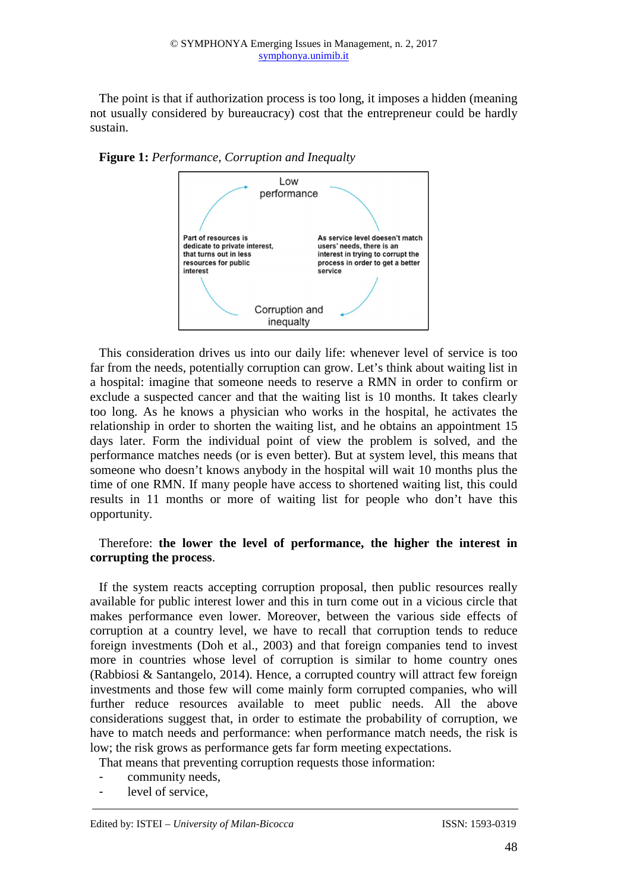The point is that if authorization process is too long, it imposes a hidden (meaning not usually considered by bureaucracy) cost that the entrepreneur could be hardly sustain.

**Figure 1:** *Performance, Corruption and Inequalty*



This consideration drives us into our daily life: whenever level of service is too far from the needs, potentially corruption can grow. Let's think about waiting list in a hospital: imagine that someone needs to reserve a RMN in order to confirm or exclude a suspected cancer and that the waiting list is 10 months. It takes clearly too long. As he knows a physician who works in the hospital, he activates the relationship in order to shorten the waiting list, and he obtains an appointment 15 days later. Form the individual point of view the problem is solved, and the performance matches needs (or is even better). But at system level, this means that someone who doesn't knows anybody in the hospital will wait 10 months plus the time of one RMN. If many people have access to shortened waiting list, this could results in 11 months or more of waiting list for people who don't have this opportunity.

#### Therefore: **the lower the level of performance, the higher the interest in corrupting the process**.

If the system reacts accepting corruption proposal, then public resources really available for public interest lower and this in turn come out in a vicious circle that makes performance even lower. Moreover, between the various side effects of corruption at a country level, we have to recall that corruption tends to reduce foreign investments (Doh et al., 2003) and that foreign companies tend to invest more in countries whose level of corruption is similar to home country ones (Rabbiosi & Santangelo, 2014). Hence, a corrupted country will attract few foreign investments and those few will come mainly form corrupted companies, who will further reduce resources available to meet public needs. All the above considerations suggest that, in order to estimate the probability of corruption, we have to match needs and performance: when performance match needs, the risk is low; the risk grows as performance gets far form meeting expectations.

That means that preventing corruption requests those information:

- community needs.
- level of service,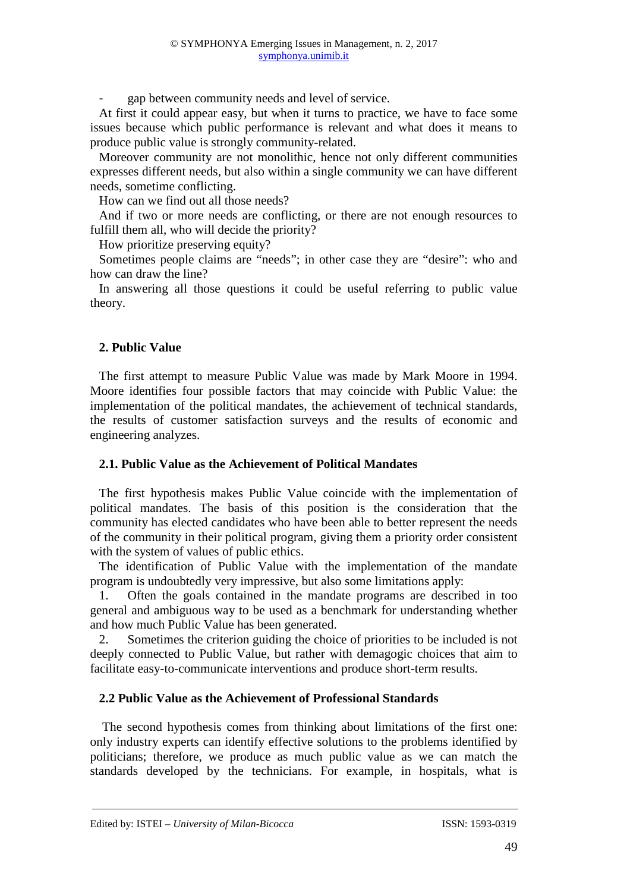gap between community needs and level of service.

At first it could appear easy, but when it turns to practice, we have to face some issues because which public performance is relevant and what does it means to produce public value is strongly community-related.

Moreover community are not monolithic, hence not only different communities expresses different needs, but also within a single community we can have different needs, sometime conflicting.

How can we find out all those needs?

And if two or more needs are conflicting, or there are not enough resources to fulfill them all, who will decide the priority?

How prioritize preserving equity?

Sometimes people claims are "needs"; in other case they are "desire": who and how can draw the line?

In answering all those questions it could be useful referring to public value theory.

## **2. Public Value**

The first attempt to measure Public Value was made by Mark Moore in 1994. Moore identifies four possible factors that may coincide with Public Value: the implementation of the political mandates, the achievement of technical standards, the results of customer satisfaction surveys and the results of economic and engineering analyzes.

#### **2.1. Public Value as the Achievement of Political Mandates**

The first hypothesis makes Public Value coincide with the implementation of political mandates. The basis of this position is the consideration that the community has elected candidates who have been able to better represent the needs of the community in their political program, giving them a priority order consistent with the system of values of public ethics.

The identification of Public Value with the implementation of the mandate program is undoubtedly very impressive, but also some limitations apply:

1. Often the goals contained in the mandate programs are described in too general and ambiguous way to be used as a benchmark for understanding whether and how much Public Value has been generated.

2. Sometimes the criterion guiding the choice of priorities to be included is not deeply connected to Public Value, but rather with demagogic choices that aim to facilitate easy-to-communicate interventions and produce short-term results.

## **2.2 Public Value as the Achievement of Professional Standards**

The second hypothesis comes from thinking about limitations of the first one: only industry experts can identify effective solutions to the problems identified by politicians; therefore, we produce as much public value as we can match the standards developed by the technicians. For example, in hospitals, what is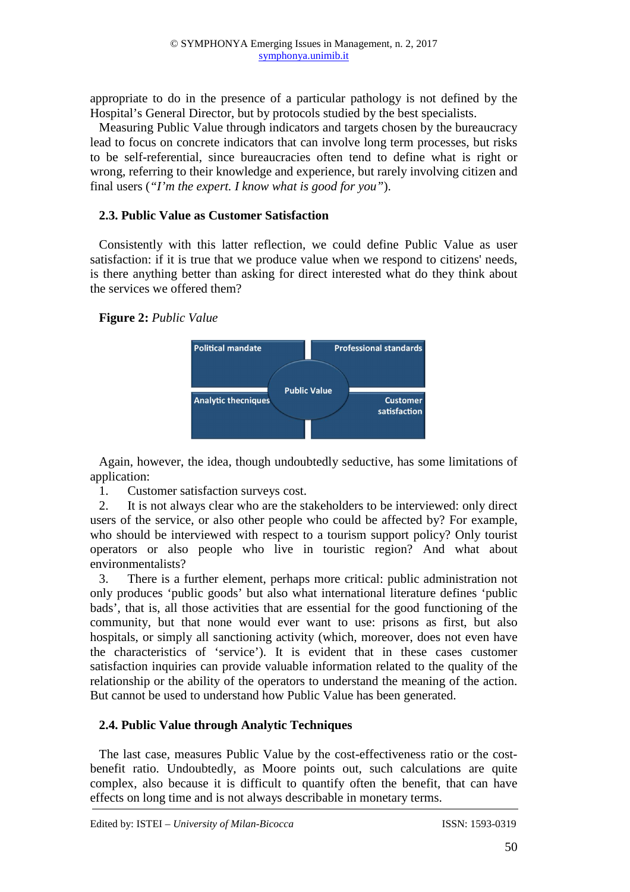appropriate to do in the presence of a particular pathology is not defined by the Hospital's General Director, but by protocols studied by the best specialists.

Measuring Public Value through indicators and targets chosen by the bureaucracy lead to focus on concrete indicators that can involve long term processes, but risks to be self-referential, since bureaucracies often tend to define what is right or wrong, referring to their knowledge and experience, but rarely involving citizen and final users (*"I'm the expert. I know what is good for you"*).

## **2.3. Public Value as Customer Satisfaction**

Consistently with this latter reflection, we could define Public Value as user satisfaction: if it is true that we produce value when we respond to citizens' needs, is there anything better than asking for direct interested what do they think about the services we offered them?

# **Figure 2:** *Public Value*



Again, however, the idea, though undoubtedly seductive, has some limitations of application:

1. Customer satisfaction surveys cost.

2. It is not always clear who are the stakeholders to be interviewed: only direct users of the service, or also other people who could be affected by? For example, who should be interviewed with respect to a tourism support policy? Only tourist operators or also people who live in touristic region? And what about environmentalists?

3. There is a further element, perhaps more critical: public administration not only produces 'public goods' but also what international literature defines 'public bads', that is, all those activities that are essential for the good functioning of the community, but that none would ever want to use: prisons as first, but also hospitals, or simply all sanctioning activity (which, moreover, does not even have the characteristics of 'service'). It is evident that in these cases customer satisfaction inquiries can provide valuable information related to the quality of the relationship or the ability of the operators to understand the meaning of the action. But cannot be used to understand how Public Value has been generated.

# **2.4. Public Value through Analytic Techniques**

The last case, measures Public Value by the cost-effectiveness ratio or the costbenefit ratio. Undoubtedly, as Moore points out, such calculations are quite complex, also because it is difficult to quantify often the benefit, that can have effects on long time and is not always describable in monetary terms.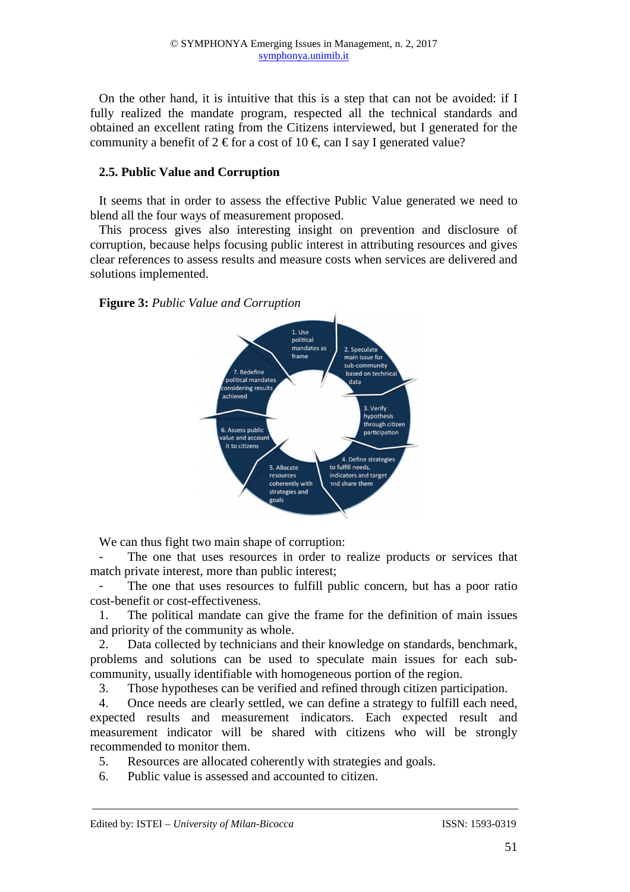On the other hand, it is intuitive that this is a step that can not be avoided: if I fully realized the mandate program, respected all the technical standards and obtained an excellent rating from the Citizens interviewed, but I generated for the community a benefit of  $2 \in$  for a cost of  $10 \in$ , can say I generated value?

## **2.5. Public Value and Corruption**

It seems that in order to assess the effective Public Value generated we need to blend all the four ways of measurement proposed.

This process gives also interesting insight on prevention and disclosure of corruption, because helps focusing public interest in attributing resources and gives clear references to assess results and measure costs when services are delivered and solutions implemented.

**Figure 3:** *Public Value and Corruption*



We can thus fight two main shape of corruption:

The one that uses resources in order to realize products or services that match private interest, more than public interest;

The one that uses resources to fulfill public concern, but has a poor ratio cost-benefit or cost-effectiveness.

1. The political mandate can give the frame for the definition of main issues and priority of the community as whole.

2. Data collected by technicians and their knowledge on standards, benchmark, problems and solutions can be used to speculate main issues for each subcommunity, usually identifiable with homogeneous portion of the region.

3. Those hypotheses can be verified and refined through citizen participation.

4. Once needs are clearly settled, we can define a strategy to fulfill each need, expected results and measurement indicators. Each expected result and measurement indicator will be shared with citizens who will be strongly recommended to monitor them.

5. Resources are allocated coherently with strategies and goals.

6. Public value is assessed and accounted to citizen.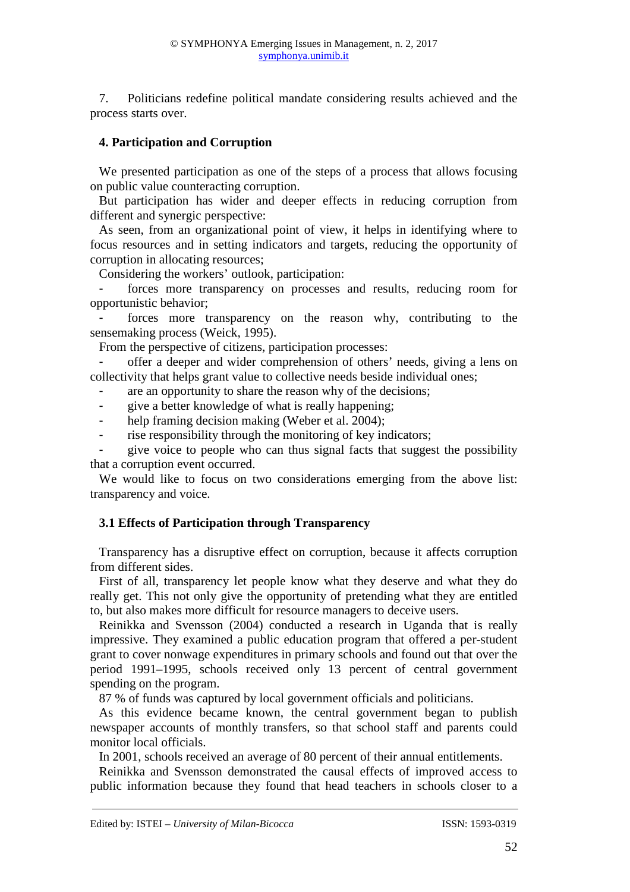7. Politicians redefine political mandate considering results achieved and the process starts over.

## **4. Participation and Corruption**

We presented participation as one of the steps of a process that allows focusing on public value counteracting corruption.

But participation has wider and deeper effects in reducing corruption from different and synergic perspective:

As seen, from an organizational point of view, it helps in identifying where to focus resources and in setting indicators and targets, reducing the opportunity of corruption in allocating resources;

Considering the workers' outlook, participation:

forces more transparency on processes and results, reducing room for opportunistic behavior;

forces more transparency on the reason why, contributing to the sensemaking process (Weick, 1995).

From the perspective of citizens, participation processes:

offer a deeper and wider comprehension of others' needs, giving a lens on collectivity that helps grant value to collective needs beside individual ones;

- are an opportunity to share the reason why of the decisions;
- give a better knowledge of what is really happening;
- help framing decision making (Weber et al. 2004);
- rise responsibility through the monitoring of key indicators;

- give voice to people who can thus signal facts that suggest the possibility that a corruption event occurred.

We would like to focus on two considerations emerging from the above list: transparency and voice.

## **3.1 Effects of Participation through Transparency**

Transparency has a disruptive effect on corruption, because it affects corruption from different sides.

First of all, transparency let people know what they deserve and what they do really get. This not only give the opportunity of pretending what they are entitled to, but also makes more difficult for resource managers to deceive users.

Reinikka and Svensson (2004) conducted a research in Uganda that is really impressive. They examined a public education program that offered a per-student grant to cover nonwage expenditures in primary schools and found out that over the period 1991–1995, schools received only 13 percent of central government spending on the program.

87 % of funds was captured by local government officials and politicians.

As this evidence became known, the central government began to publish newspaper accounts of monthly transfers, so that school staff and parents could monitor local officials.

In 2001, schools received an average of 80 percent of their annual entitlements.

Reinikka and Svensson demonstrated the causal effects of improved access to public information because they found that head teachers in schools closer to a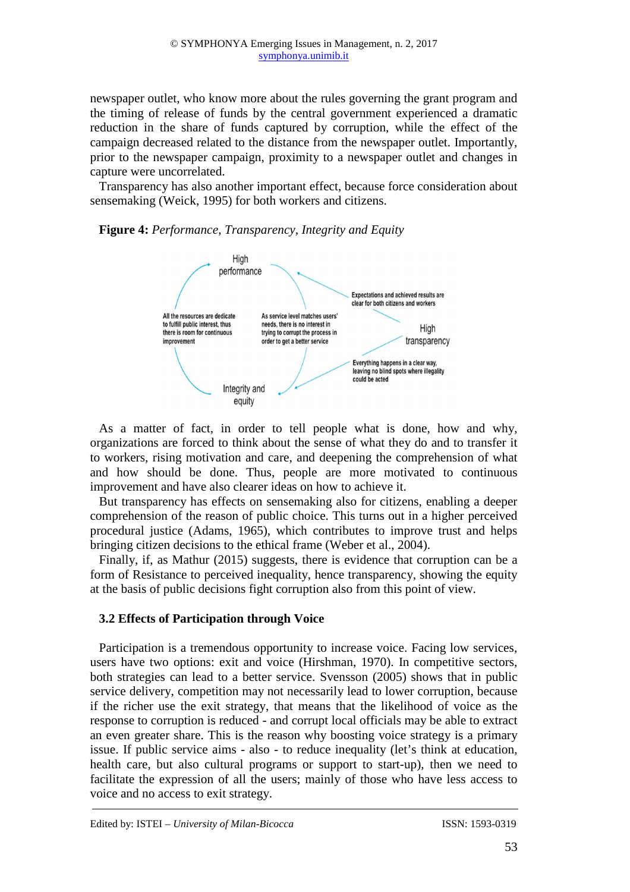newspaper outlet, who know more about the rules governing the grant program and the timing of release of funds by the central government experienced a dramatic reduction in the share of funds captured by corruption, while the effect of the campaign decreased related to the distance from the newspaper outlet. Importantly, prior to the newspaper campaign, proximity to a newspaper outlet and changes in capture were uncorrelated.

Transparency has also another important effect, because force consideration about sensemaking (Weick, 1995) for both workers and citizens.



**Figure 4:** *Performance, Transparency, Integrity and Equity* 

As a matter of fact, in order to tell people what is done, how and why, organizations are forced to think about the sense of what they do and to transfer it to workers, rising motivation and care, and deepening the comprehension of what and how should be done. Thus, people are more motivated to continuous improvement and have also clearer ideas on how to achieve it.

But transparency has effects on sensemaking also for citizens, enabling a deeper comprehension of the reason of public choice. This turns out in a higher perceived procedural justice (Adams, 1965), which contributes to improve trust and helps bringing citizen decisions to the ethical frame (Weber et al., 2004).

Finally, if, as Mathur (2015) suggests, there is evidence that corruption can be a form of Resistance to perceived inequality, hence transparency, showing the equity at the basis of public decisions fight corruption also from this point of view.

## **3.2 Effects of Participation through Voice**

Participation is a tremendous opportunity to increase voice. Facing low services, users have two options: exit and voice (Hirshman, 1970). In competitive sectors, both strategies can lead to a better service. Svensson (2005) shows that in public service delivery, competition may not necessarily lead to lower corruption, because if the richer use the exit strategy, that means that the likelihood of voice as the response to corruption is reduced - and corrupt local officials may be able to extract an even greater share. This is the reason why boosting voice strategy is a primary issue. If public service aims - also - to reduce inequality (let's think at education, health care, but also cultural programs or support to start-up), then we need to facilitate the expression of all the users; mainly of those who have less access to voice and no access to exit strategy.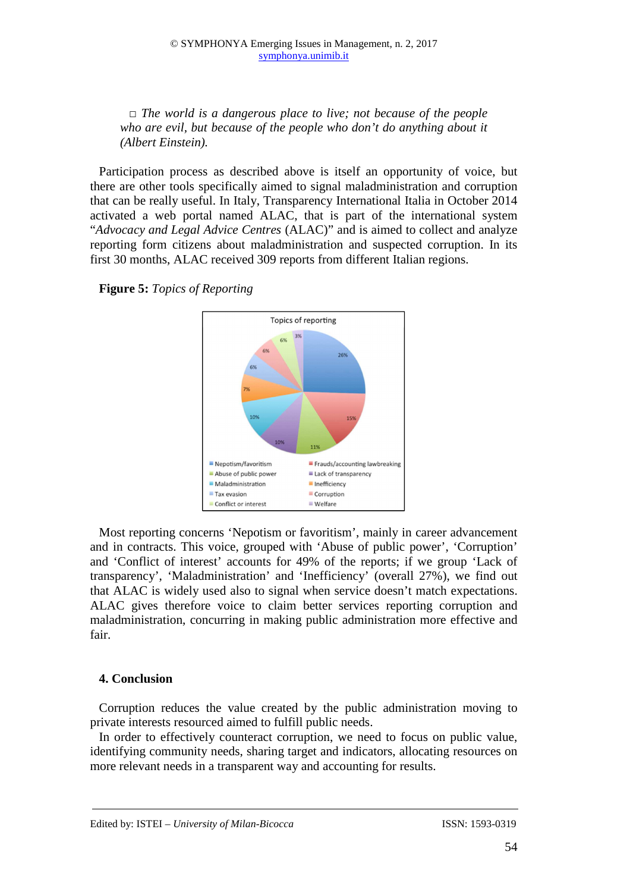*□ The world is a dangerous place to live; not because of the people who are evil, but because of the people who don't do anything about it (Albert Einstein).* 

Participation process as described above is itself an opportunity of voice, but there are other tools specifically aimed to signal maladministration and corruption that can be really useful. In Italy, Transparency International Italia in October 2014 activated a web portal named ALAC, that is part of the international system "*Advocacy and Legal Advice Centres* (ALAC)" and is aimed to collect and analyze reporting form citizens about maladministration and suspected corruption. In its first 30 months, ALAC received 309 reports from different Italian regions.



**Figure 5:** *Topics of Reporting* 

Most reporting concerns 'Nepotism or favoritism', mainly in career advancement and in contracts. This voice, grouped with 'Abuse of public power', 'Corruption' and 'Conflict of interest' accounts for 49% of the reports; if we group 'Lack of transparency', 'Maladministration' and 'Inefficiency' (overall 27%), we find out that ALAC is widely used also to signal when service doesn't match expectations. ALAC gives therefore voice to claim better services reporting corruption and maladministration, concurring in making public administration more effective and fair.

## **4. Conclusion**

Corruption reduces the value created by the public administration moving to private interests resourced aimed to fulfill public needs.

In order to effectively counteract corruption, we need to focus on public value, identifying community needs, sharing target and indicators, allocating resources on more relevant needs in a transparent way and accounting for results.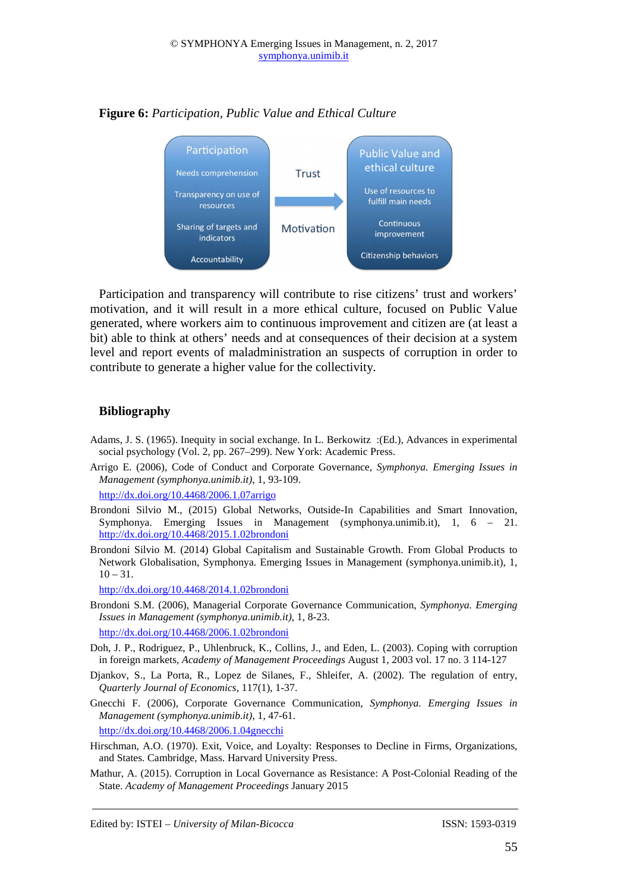

#### **Figure 6:** *Participation, Public Value and Ethical Culture*

Participation and transparency will contribute to rise citizens' trust and workers' motivation, and it will result in a more ethical culture, focused on Public Value generated, where workers aim to continuous improvement and citizen are (at least a bit) able to think at others' needs and at consequences of their decision at a system level and report events of maladministration an suspects of corruption in order to contribute to generate a higher value for the collectivity.

#### **Bibliography**

- Adams, J. S. (1965). Inequity in social exchange. In L. Berkowitz :(Ed.), Advances in experimental social psychology (Vol. 2, pp. 267–299). New York: Academic Press.
- Arrigo E. (2006), Code of Conduct and Corporate Governance, *Symphonya. Emerging Issues in Management (symphonya.unimib.it)*, 1, 93-109.

http://dx.doi.org/10.4468/2006.1.07arrigo

- Brondoni Silvio M., (2015) Global Networks, Outside-In Capabilities and Smart Innovation, Symphonya. Emerging Issues in Management (symphonya.unimib.it), 1, 6 – 21. http://dx.doi.org/10.4468/2015.1.02brondoni
- Brondoni Silvio M. (2014) Global Capitalism and Sustainable Growth. From Global Products to Network Globalisation, Symphonya. Emerging Issues in Management (symphonya.unimib.it), 1,  $10 - 31.$

http://dx.doi.org/10.4468/2014.1.02brondoni

- Brondoni S.M. (2006), Managerial Corporate Governance Communication, *Symphonya. Emerging Issues in Management (symphonya.unimib.it)*, 1, 8-23. http://dx.doi.org/10.4468/2006.1.02brondoni
- Doh, J. P., Rodriguez, P., Uhlenbruck, K., Collins, J., and Eden, L. (2003). Coping with corruption in foreign markets, *Academy of Management Proceedings* August 1, 2003 vol. 17 no. 3 114-127
- Djankov, S., La Porta, R., Lopez de Silanes, F., Shleifer, A. (2002). The regulation of entry, *Quarterly Journal of Economics*, 117(1), 1-37.
- Gnecchi F. (2006), Corporate Governance Communication, *Symphonya. Emerging Issues in Management (symphonya.unimib.it)*, 1, 47-61.

http://dx.doi.org/10.4468/2006.1.04gnecchi

- Hirschman, A.O. (1970). Exit, Voice, and Loyalty: Responses to Decline in Firms, Organizations, and States. Cambridge, Mass. Harvard University Press.
- Mathur, A. (2015). Corruption in Local Governance as Resistance: A Post-Colonial Reading of the State. *Academy of Management Proceedings* January 2015